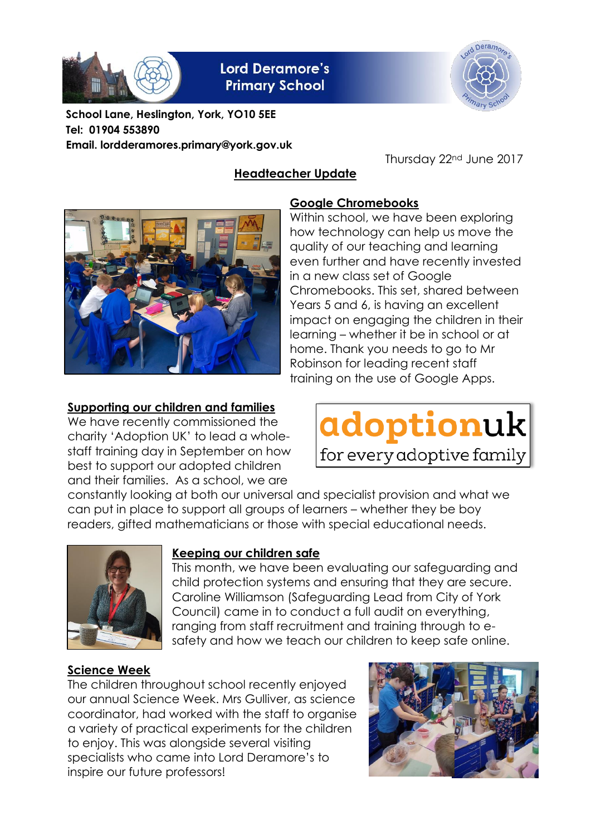

# **Lord Deramore's Primary School**

**Headteacher Update**



**School Lane, Heslington, York, YO10 5EE Tel: 01904 553890 Email. lordderamores.primary@york.gov.uk**

Thursday 22nd June 2017



# **Google Chromebooks**

Within school, we have been exploring how technology can help us move the quality of our teaching and learning even further and have recently invested in a new class set of Google Chromebooks. This set, shared between Years 5 and 6, is having an excellent impact on engaging the children in their learning – whether it be in school or at home. Thank you needs to go to Mr Robinson for leading recent staff training on the use of Google Apps.

### **Supporting our children and families**

We have recently commissioned the charity 'Adoption UK' to lead a wholestaff training day in September on how best to support our adopted children and their families. As a school, we are



constantly looking at both our universal and specialist provision and what we can put in place to support all groups of learners – whether they be boy readers, gifted mathematicians or those with special educational needs.



### **Keeping our children safe**

This month, we have been evaluating our safeguarding and child protection systems and ensuring that they are secure. Caroline Williamson (Safeguarding Lead from City of York Council) came in to conduct a full audit on everything, ranging from staff recruitment and training through to esafety and how we teach our children to keep safe online.

### **Science Week**

The children throughout school recently enjoyed our annual Science Week. Mrs Gulliver, as science coordinator, had worked with the staff to organise a variety of practical experiments for the children to enjoy. This was alongside several visiting specialists who came into Lord Deramore's to inspire our future professors!